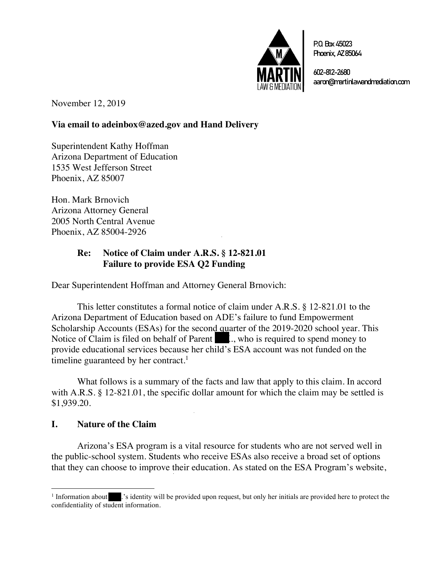

P.O.Box45023 Phoenix, AZ85064

602-812-2680 aaron@martinlawandmediation.com

November 12, 2019

## **Via email to adeinbox@azed.gov and Hand Delivery**

Superintendent Kathy Hoffman Arizona Department of Education 1535 West Jefferson Street Phoenix, AZ 85007

Hon. Mark Brnovich Arizona Attorney General 2005 North Central Avenue Phoenix, AZ 85004-2926

## **Re: Notice of Claim under A.R.S. § 12-821.01 Failure to provide ESA Q2 Funding**

Dear Superintendent Hoffman and Attorney General Brnovich:

This letter constitutes a formal notice of claim under A.R.S. § 12-821.01 to the Arizona Department of Education based on ADE's failure to fund Empowerment Scholarship Accounts (ESAs) for the second quarter of the 2019-2020 school year. This Notice of Claim is filed on behalf of Parent  $\mathbb{R}$ ., who is required to spend money to provide educational services because her child's ESA account was not funded on the timeline guaranteed by her contract.<sup>1</sup>

What follows is a summary of the facts and law that apply to this claim. In accord with A.R.S. § 12-821.01, the specific dollar amount for which the claim may be settled is \$1,939.20.

### **I. Nature of the Claim**

Arizona's ESA program is a vital resource for students who are not served well in the public-school system. Students who receive ESAs also receive a broad set of options that they can choose to improve their education. As stated on the ESA Program's website,

 $\frac{1}{\text{Information about}}$ .'s identity will be provided upon request, but only her initials are provided here to protect the confidentiality of student information.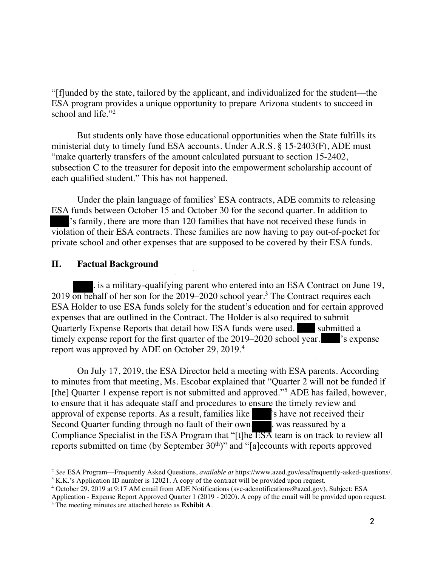"[f]unded by the state, tailored by the applicant, and individualized for the student—the ESA program provides a unique opportunity to prepare Arizona students to succeed in school and life."<sup>2</sup>

But students only have those educational opportunities when the State fulfills its ministerial duty to timely fund ESA accounts. Under A.R.S. § 15-2403(F), ADE must "make quarterly transfers of the amount calculated pursuant to section 15-2402, subsection C to the treasurer for deposit into the empowerment scholarship account of each qualified student." This has not happened.

Under the plain language of families' ESA contracts, ADE commits to releasing ESA funds between October 15 and October 30 for the second quarter. In addition to s family, there are more than 120 families that have not received these funds in violation of their ESA contracts. These families are now having to pay out-of-pocket for private school and other expenses that are supposed to be covered by their ESA funds.

#### **II. Factual Background**

It is a military-qualifying parent who entered into an ESA Contract on June 19, 2019 on behalf of her son for the 2019–2020 school year.<sup>3</sup> The Contract requires each ESA Holder to use ESA funds solely for the student's education and for certain approved expenses that are outlined in the Contract. The Holder is also required to submit Quarterly Expense Reports that detail how ESA funds were used. Submitted a timely expense report for the first quarter of the  $2019-2020$  school year.  $\cdot$  is expense report was approved by ADE on October 29, 2019.4

On July 17, 2019, the ESA Director held a meeting with ESA parents. According to minutes from that meeting, Ms. Escobar explained that "Quarter 2 will not be funded if [the] Quarter 1 expense report is not submitted and approved."<sup>5</sup> ADE has failed, however, to ensure that it has adequate staff and procedures to ensure the timely review and approval of expense reports. As a result, families like states is have not received their Second Quarter funding through no fault of their own. A. was reassured by a Compliance Specialist in the ESA Program that "[t]he ESA team is on track to review all reports submitted on time (by September  $30<sup>th</sup>$ )" and "[a]ccounts with reports approved

<sup>2</sup> *See* ESA Program—Frequently Asked Questions, *available at* https://www.azed.gov/esa/frequently-asked-questions/.

 $3$  K.K.'s Application ID number is 12021. A copy of the contract will be provided upon request.

<sup>4</sup> October 29, 2019 at 9:17 AM email from ADE Notifications (svc-adenotifications@azed.gov), Subject: ESA

Application - Expense Report Approved Quarter 1 (2019 - 2020). A copy of the email will be provided upon request. <sup>5</sup> The meeting minutes are attached hereto as **Exhibit A**.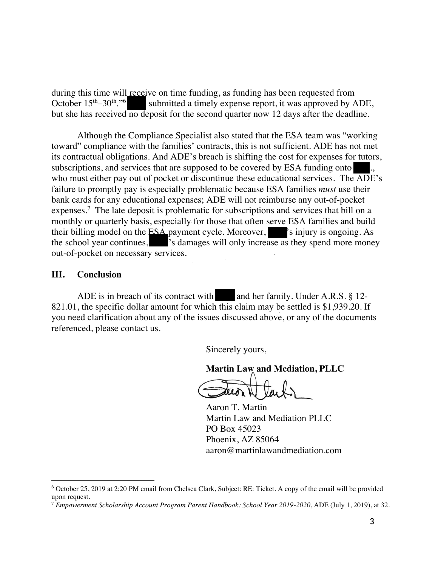during this time will receive on time funding, as funding has been requested from October  $15<sup>th</sup> - 30<sup>th</sup>$ ."<sup>6</sup> submitted a timely expense report, it was approved by  $\cancel{P}$ submitted a timely expense report, it was approved by ADE, but she has received no deposit for the second quarter now 12 days after the deadline.

Although the Compliance Specialist also stated that the ESA team was "working toward" compliance with the families' contracts, this is not sufficient. ADE has not met its contractual obligations. And ADE's breach is shifting the cost for expenses for tutors, subscriptions, and services that are supposed to be covered by ESA funding onto who must either pay out of pocket or discontinue these educational services. The ADE's failure to promptly pay is especially problematic because ESA families *must* use their bank cards for any educational expenses; ADE will not reimburse any out-of-pocket expenses.<sup>7</sup> The late deposit is problematic for subscriptions and services that bill on a monthly or quarterly basis, especially for those that often serve ESA families and build their billing model on the ESA payment cycle. Moreover,  $\blacktriangleright$  injury is ongoing. As the school year continues,  $\blacksquare$  is damages will only increase as they spend more money out-of-pocket on necessary services.

#### **III. Conclusion**

ADE is in breach of its contract with and her family. Under  $A.R.S. \$ § 12-821.01, the specific dollar amount for which this claim may be settled is \$1,939.20. If you need clarification about any of the issues discussed above, or any of the documents referenced, please contact us.

Sincerely yours,

**Martin Law and Mediation, PLLC**

teiò

Aaron T. Martin Martin Law and Mediation PLLC PO Box 45023 Phoenix, AZ 85064 aaron@martinlawandmediation.com

<sup>6</sup> October 25, 2019 at 2:20 PM email from Chelsea Clark, Subject: RE: Ticket. A copy of the email will be provided upon request.

<sup>7</sup> *Empowerment Scholarship Account Program Parent Handbook: School Year 2019-2020*, ADE (July 1, 2019), at 32.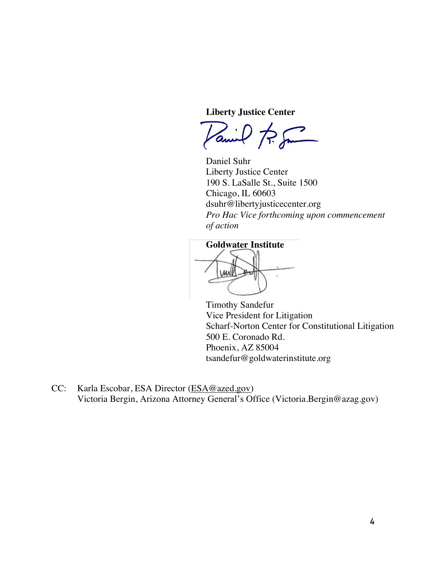**Liberty Justice Center**

Vanil R. Sm

Daniel Suhr Liberty Justice Center 190 S. LaSalle St., Suite 1500 Chicago, IL 60603 dsuhr@libertyjusticecenter.org *Pro Hac Vice forthcoming upon commencement of action*

#### **Goldwater Institute**

**UMA** 

Timothy Sandefur Vice President for Litigation Scharf-Norton Center for Constitutional Litigation 500 E. Coronado Rd. Phoenix, AZ 85004 tsandefur@goldwaterinstitute.org

CC: Karla Escobar, ESA Director (ESA@azed.gov) Victoria Bergin, Arizona Attorney General's Office (Victoria.Bergin@azag.gov)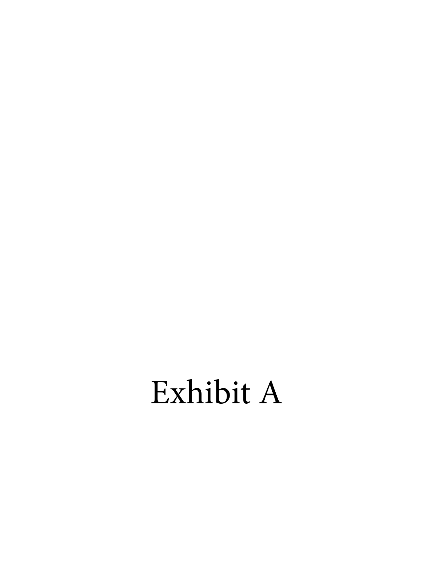# Exhibit A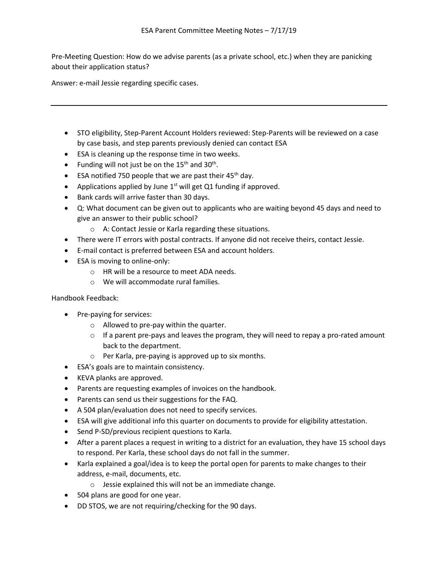Pre-Meeting Question: How do we advise parents (as a private school, etc.) when they are panicking about their application status?

Answer: e-mail Jessie regarding specific cases.

- STO eligibility, Step-Parent Account Holders reviewed: Step-Parents will be reviewed on a case by case basis, and step parents previously denied can contact ESA
- ESA is cleaning up the response time in two weeks.
- Funding will not just be on the  $15<sup>th</sup>$  and  $30<sup>th</sup>$ .
- ESA notified 750 people that we are past their  $45<sup>th</sup>$  day.
- Applications applied by June  $1^{st}$  will get Q1 funding if approved.
- Bank cards will arrive faster than 30 days.
- Q: What document can be given out to applicants who are waiting beyond 45 days and need to give an answer to their public school?
	- o A: Contact Jessie or Karla regarding these situations.
- There were IT errors with postal contracts. If anyone did not receive theirs, contact Jessie.
- E-mail contact is preferred between ESA and account holders.
- ESA is moving to online-only:
	- o HR will be a resource to meet ADA needs.
	- o We will accommodate rural families.

Handbook Feedback:

- Pre-paying for services:
	- o Allowed to pre-pay within the quarter.
	- $\circ$  If a parent pre-pays and leaves the program, they will need to repay a pro-rated amount back to the department.
	- o Per Karla, pre-paying is approved up to six months.
- ESA's goals are to maintain consistency.
- KEVA planks are approved.
- Parents are requesting examples of invoices on the handbook.
- Parents can send us their suggestions for the FAQ.
- A 504 plan/evaluation does not need to specify services.
- ESA will give additional info this quarter on documents to provide for eligibility attestation.
- Send P-SD/previous recipient questions to Karla.
- After a parent places a request in writing to a district for an evaluation, they have 15 school days to respond. Per Karla, these school days do not fall in the summer.
- Karla explained a goal/idea is to keep the portal open for parents to make changes to their address, e-mail, documents, etc.
	- o Jessie explained this will not be an immediate change.
- 504 plans are good for one year.
- DD STOS, we are not requiring/checking for the 90 days.